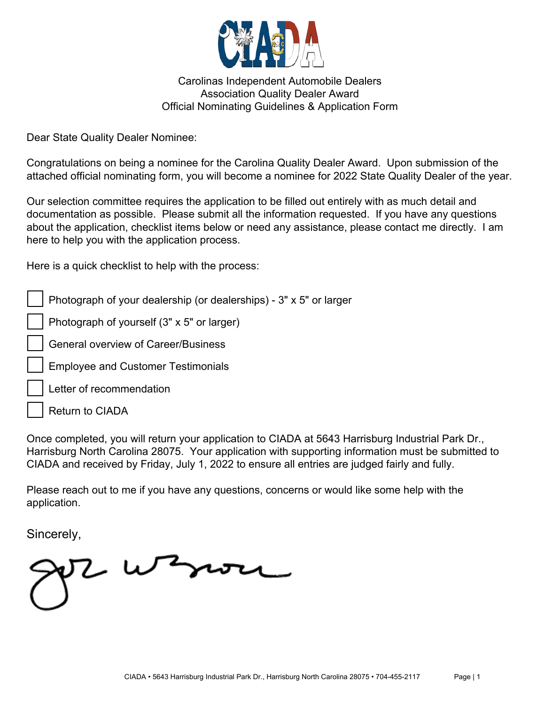

Carolinas Independent Automobile Dealers Association Quality Dealer Award Official Nominating Guidelines & Application Form

Dear State Quality Dealer Nominee:

Congratulations on being a nominee for the Carolina Quality Dealer Award. Upon submission of the attached official nominating form, you will become a nominee for 2022 State Quality Dealer of the year.

Our selection committee requires the application to be filled out entirely with as much detail and documentation as possible. Please submit all the information requested. If you have any questions about the application, checklist items below or need any assistance, please contact me directly. I am here to help you with the application process.

Here is a quick checklist to help with the process:

Photograph of your dealership (or dealerships) - 3" x 5" or larger

Photograph of yourself (3" x 5" or larger)

General overview of Career/Business

- Employee and Customer Testimonials
- Letter of recommendation

Return to CIADA

Once completed, you will return your application to CIADA at 5643 Harrisburg Industrial Park Dr., Harrisburg North Carolina 28075. Your application with supporting information must be submitted to CIADA and received by Friday, July 1, 2022 to ensure all entries are judged fairly and fully.

Please reach out to me if you have any questions, concerns or would like some help with the application.

Sincerely,

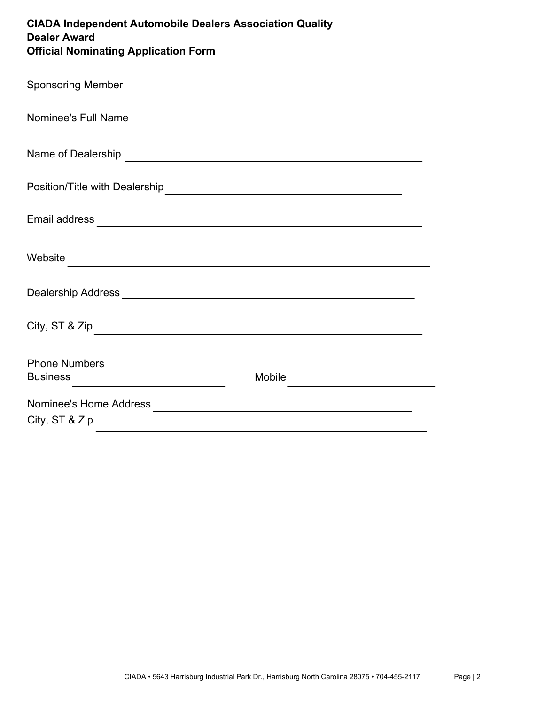| <b>CIADA Independent Automobile Dealers Association Quality</b><br><b>Dealer Award</b><br><b>Official Nominating Application Form</b>                                                                                                |        |  |
|--------------------------------------------------------------------------------------------------------------------------------------------------------------------------------------------------------------------------------------|--------|--|
| Sponsoring Member <u>Constantine and the set of the set of the set of the set of the set of the set of the set of the set of the set of the set of the set of the set of the set of the set of the set of the set of the set of </u> |        |  |
| Nominee's Full Name                                                                                                                                                                                                                  |        |  |
|                                                                                                                                                                                                                                      |        |  |
|                                                                                                                                                                                                                                      |        |  |
|                                                                                                                                                                                                                                      |        |  |
|                                                                                                                                                                                                                                      |        |  |
|                                                                                                                                                                                                                                      |        |  |
| City, ST & Zip                                                                                                                                                                                                                       |        |  |
| <b>Phone Numbers</b>                                                                                                                                                                                                                 | Mobile |  |
| City, ST & Zip                                                                                                                                                                                                                       |        |  |
|                                                                                                                                                                                                                                      |        |  |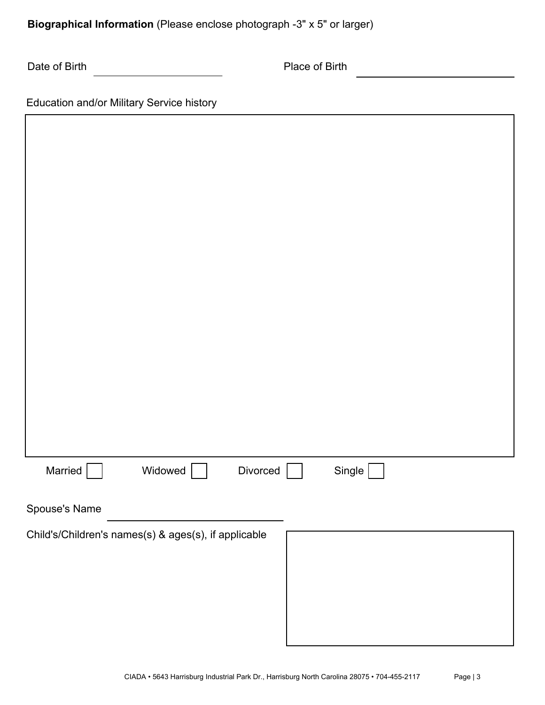**Biographical Information** (Please enclose photograph -3" x 5" or larger)

Place of Birth

⅂

| Education and/or Military Service history |  |  |
|-------------------------------------------|--|--|
|-------------------------------------------|--|--|

Г

| Single $\Box$<br>Married<br>Widowed<br>Divorced      |  |  |
|------------------------------------------------------|--|--|
| Spouse's Name                                        |  |  |
| Child's/Children's names(s) & ages(s), if applicable |  |  |
|                                                      |  |  |
|                                                      |  |  |
|                                                      |  |  |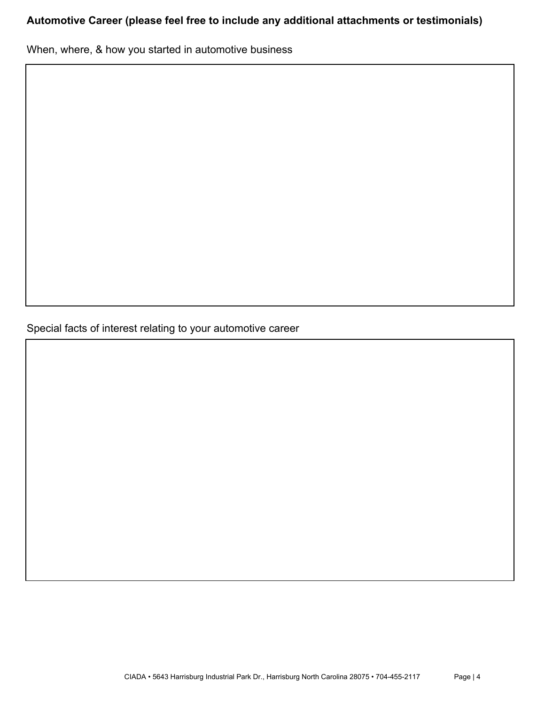# **Automotive Career (please feel free to include any additional attachments or testimonials)**

When, where, & how you started in automotive business

Special facts of interest relating to your automotive career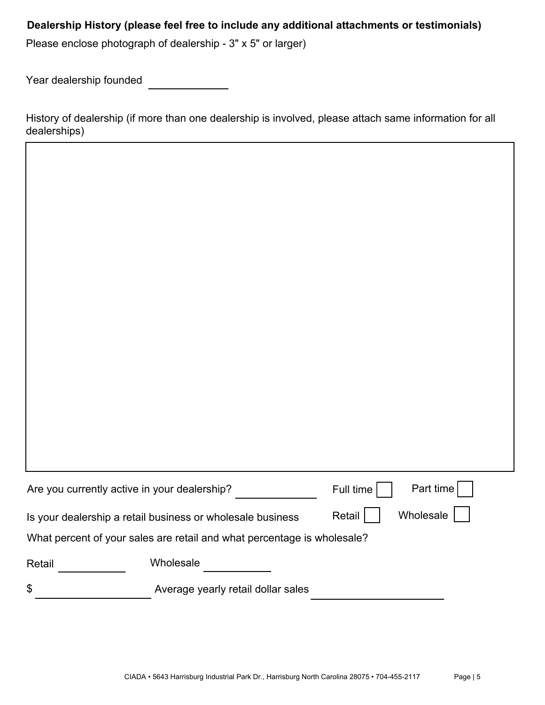## **Dealership History (please feel free to include any additional attachments or testimonials)**

Please enclose photograph of dealership - 3" x 5" or larger)

Year dealership founded

History of dealership (if more than one dealership is involved, please attach same information for all dealerships)

| Are you currently active in your dealership?                                      |                                    | Part time<br>Full time |  |  |
|-----------------------------------------------------------------------------------|------------------------------------|------------------------|--|--|
| Wholesale<br>Retail<br>Is your dealership a retail business or wholesale business |                                    |                        |  |  |
| What percent of your sales are retail and what percentage is wholesale?           |                                    |                        |  |  |
| Retail                                                                            | Wholesale                          |                        |  |  |
| \$                                                                                | Average yearly retail dollar sales |                        |  |  |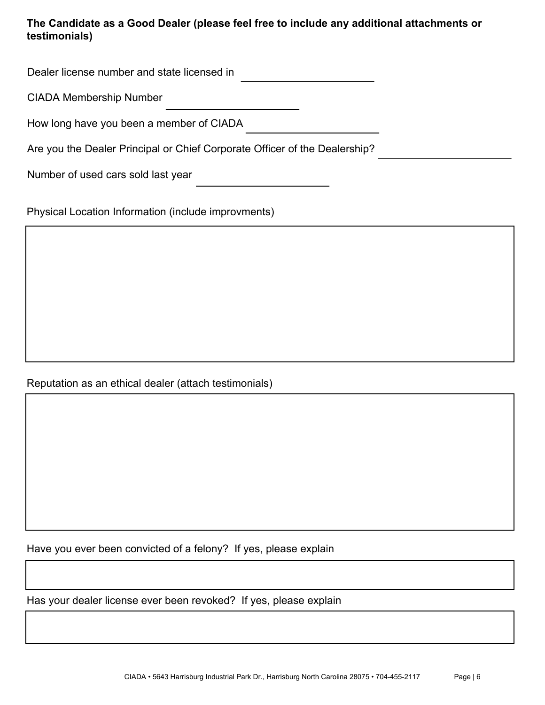## **The Candidate as a Good Dealer (please feel free to include any additional attachments or testimonials)**

Dealer license number and state licensed in

CIADA Membership Number

How long have you been a member of CIADA

Are you the Dealer Principal or Chief Corporate Officer of the Dealership?

Number of used cars sold last year

Physical Location Information (include improvments)

## Reputation as an ethical dealer (attach testimonials)

Have you ever been convicted of a felony? If yes, please explain

Has your dealer license ever been revoked? If yes, please explain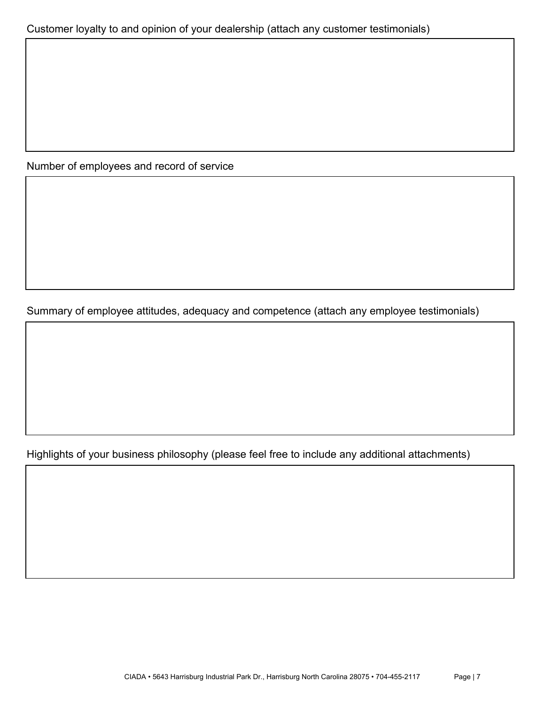Number of employees and record of service

Summary of employee attitudes, adequacy and competence (attach any employee testimonials)

Highlights of your business philosophy (please feel free to include any additional attachments)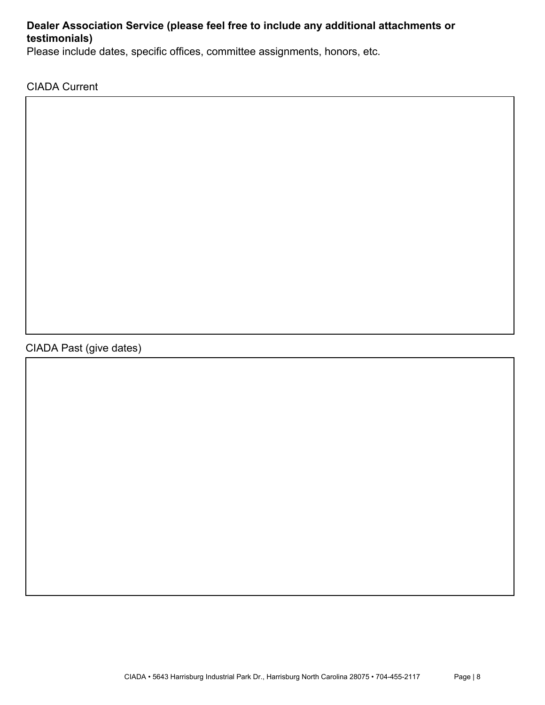### **Dealer Association Service (please feel free to include any additional attachments or testimonials)**

Please include dates, specific offices, committee assignments, honors, etc.

CIADA Current

# CIADA Past (give dates)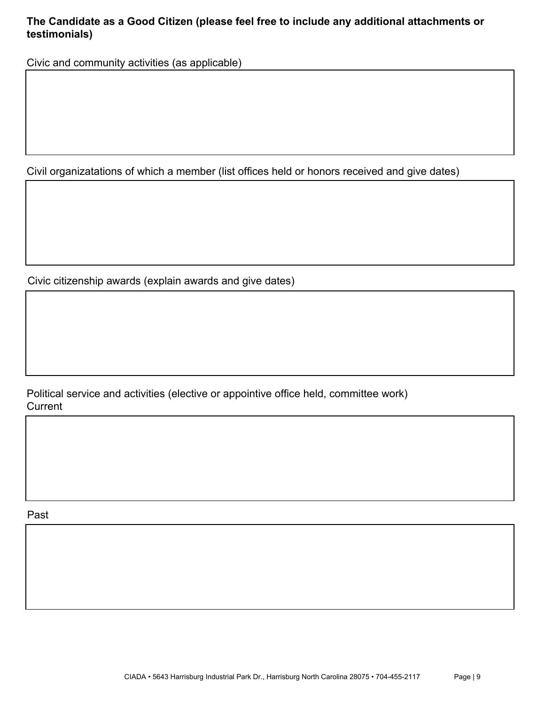## **The Candidate as a Good Citizen (please feel free to include any additional attachments or testimonials)**

Civic and community activities (as applicable)

Civil organizatations of which a member (list offices held or honors received and give dates)

Civic citizenship awards (explain awards and give dates)

Political service and activities (elective or appointive office held, committee work) **Current** 

Past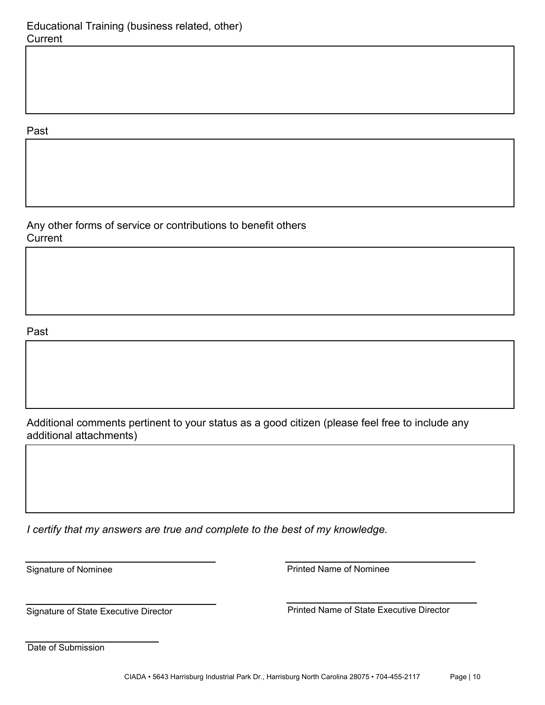### Past

Any other forms of service or contributions to benefit others **Current** 

#### Past

Additional comments pertinent to your status as a good citizen (please feel free to include any additional attachments)

*I certify that my answers are true and complete to the best of my knowledge.*

Signature of Nominee **Printed Name of Nominee** 

Signature of State Executive Director **Name 19 Constants Constructed Printed Name of State Executive Director** 

Date of Submission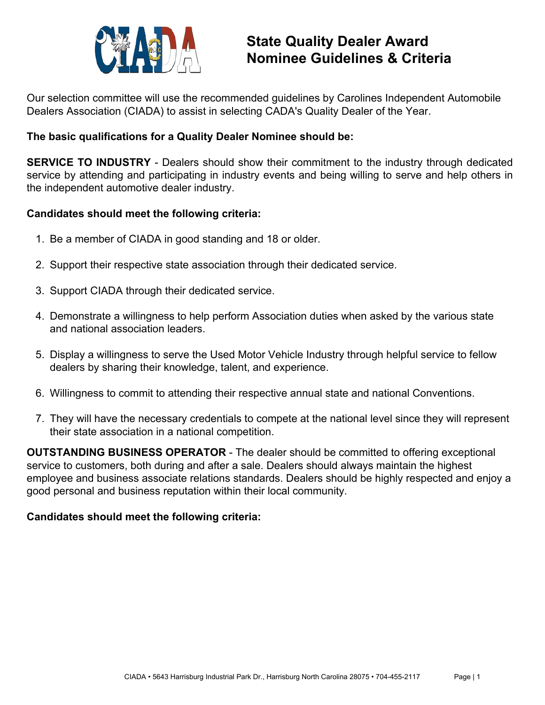

Our selection committee will use the recommended guidelines by Carolines Independent Automobile Dealers Association (CIADA) to assist in selecting CADA's Quality Dealer of the Year.

### **The basic qualifications for a Quality Dealer Nominee should be:**

**SERVICE TO INDUSTRY** - Dealers should show their commitment to the industry through dedicated service by attending and participating in industry events and being willing to serve and help others in the independent automotive dealer industry.

### **Candidates should meet the following criteria:**

- 1. Be a member of CIADA in good standing and 18 or older.
- 2. Support their respective state association through their dedicated service.
- 3. Support CIADA through their dedicated service.
- 4. Demonstrate a willingness to help perform Association duties when asked by the various state and national association leaders.
- 5. Display a willingness to serve the Used Motor Vehicle Industry through helpful service to fellow dealers by sharing their knowledge, talent, and experience.
- 6. Willingness to commit to attending their respective annual state and national Conventions.
- 7. They will have the necessary credentials to compete at the national level since they will represent their state association in a national competition.

**OUTSTANDING BUSINESS OPERATOR** - The dealer should be committed to offering exceptional service to customers, both during and after a sale. Dealers should always maintain the highest employee and business associate relations standards. Dealers should be highly respected and enjoy a good personal and business reputation within their local community.

## **Candidates should meet the following criteria:**